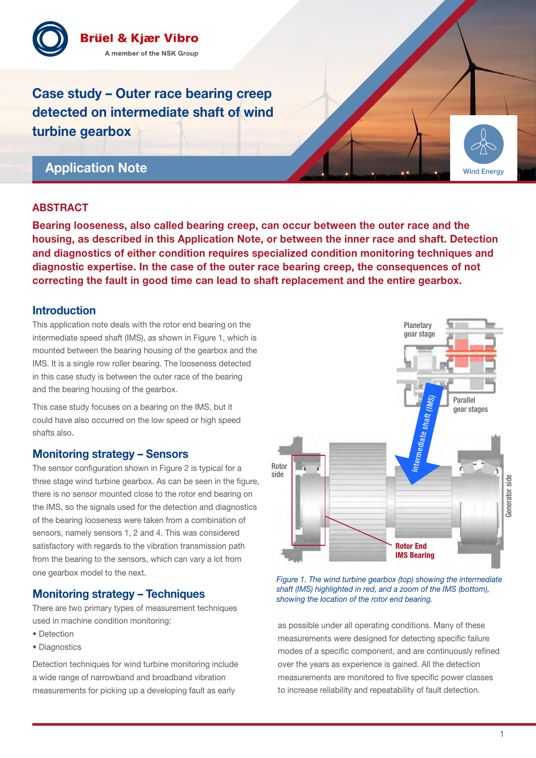

Case study – Outer race bearing creep detected on intermediate shaft of wind turbine gearbox

# Application Note

### ABSTRACT

Bearing looseness, also called bearing creep, can occur between the outer race and the housing, as described in this Application Note, or between the inner race and shaft. Detection and diagnostics of either condition requires specialized condition monitoring techniques and diagnostic expertise. In the case of the outer race bearing creep, the consequences of not correcting the fault in good time can lead to shaft replacement and the entire gearbox.

### Introduction

This application note deals with the rotor end bearing on the intermediate speed shaft (IMS), as shown in Figure 1, which is mounted between the bearing housing of the gearbox and the IMS. It is a single row roller bearing. The looseness detected in this case study is between the outer race of the bearing and the bearing housing of the gearbox.

This case study focuses on a bearing on the IMS, but it could have also occurred on the low speed or high speed shafts also.

### Monitoring strategy – Sensors

The sensor configuration shown in Figure 2 is typical for a three stage wind turbine gearbox. As can be seen in the figure, there is no sensor mounted close to the rotor end bearing on the IMS, so the signals used for the detection and diagnostics of the bearing looseness were taken from a combination of sensors, namely sensors 1, 2 and 4. This was considered satisfactory with regards to the vibration transmission path from the bearing to the sensors, which can vary a lot from one gearbox model to the next.

## Monitoring strategy – Techniques

There are two primary types of measurement techniques used in machine condition monitoring:

- Detection
- Diagnostics

Detection techniques for wind turbine monitoring include a wide range of narrowband and broadband vibration measurements for picking up a developing fault as early



*Figure 1. The wind turbine gearbox (top) showing the intermediate shaft (IMS) highlighted in red, and a zoom of the IMS (bottom), showing the location of the rotor end bearing.*

as possible under all operating conditions. Many of these measurements were designed for detecting specific failure modes of a specific component, and are continuously refined over the years as experience is gained. All the detection measurements are monitored to five specific power classes to increase reliability and repeatability of fault detection.

Wind Energy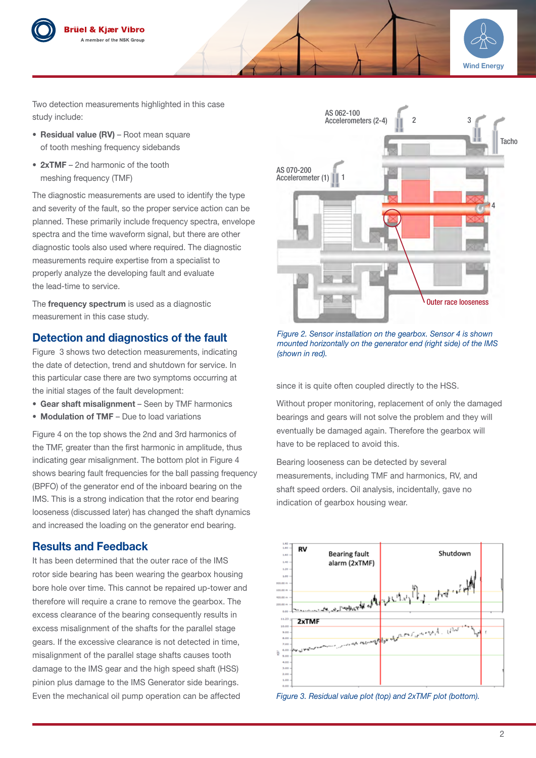



Two detection measurements highlighted in this case study include:

- Residual value (RV) Root mean square of tooth meshing frequency sidebands
- 2xTMF 2nd harmonic of the tooth meshing frequency (TMF)

The diagnostic measurements are used to identify the type and severity of the fault, so the proper service action can be planned. These primarily include frequency spectra, envelope spectra and the time waveform signal, but there are other diagnostic tools also used where required. The diagnostic measurements require expertise from a specialist to properly analyze the developing fault and evaluate the lead-time to service.

The frequency spectrum is used as a diagnostic measurement in this case study.

## Detection and diagnostics of the fault

Figure 3 shows two detection measurements, indicating the date of detection, trend and shutdown for service. In this particular case there are two symptoms occurring at the initial stages of the fault development:

- Gear shaft misalignment Seen by TMF harmonics
- Modulation of TMF Due to load variations

Figure 4 on the top shows the 2nd and 3rd harmonics of the TMF, greater than the first harmonic in amplitude, thus indicating gear misalignment. The bottom plot in Figure 4 shows bearing fault frequencies for the ball passing frequency (BPFO) of the generator end of the inboard bearing on the IMS. This is a strong indication that the rotor end bearing looseness (discussed later) has changed the shaft dynamics and increased the loading on the generator end bearing.

## Results and Feedback

It has been determined that the outer race of the IMS rotor side bearing has been wearing the gearbox housing bore hole over time. This cannot be repaired up-tower and therefore will require a crane to remove the gearbox. The excess clearance of the bearing consequently results in excess misalignment of the shafts for the parallel stage gears. If the excessive clearance is not detected in time, misalignment of the parallel stage shafts causes tooth damage to the IMS gear and the high speed shaft (HSS) pinion plus damage to the IMS Generator side bearings. Even the mechanical oil pump operation can be affected



*Figure 2. Sensor installation on the gearbox. Sensor 4 is shown mounted horizontally on the generator end (right side) of the IMS (shown in red).*

since it is quite often coupled directly to the HSS.

Without proper monitoring, replacement of only the damaged bearings and gears will not solve the problem and they will eventually be damaged again. Therefore the gearbox will have to be replaced to avoid this.

Bearing looseness can be detected by several measurements, including TMF and harmonics, RV, and shaft speed orders. Oil analysis, incidentally, gave no indication of gearbox housing wear.



*Figure 3. Residual value plot (top) and 2xTMF plot (bottom).*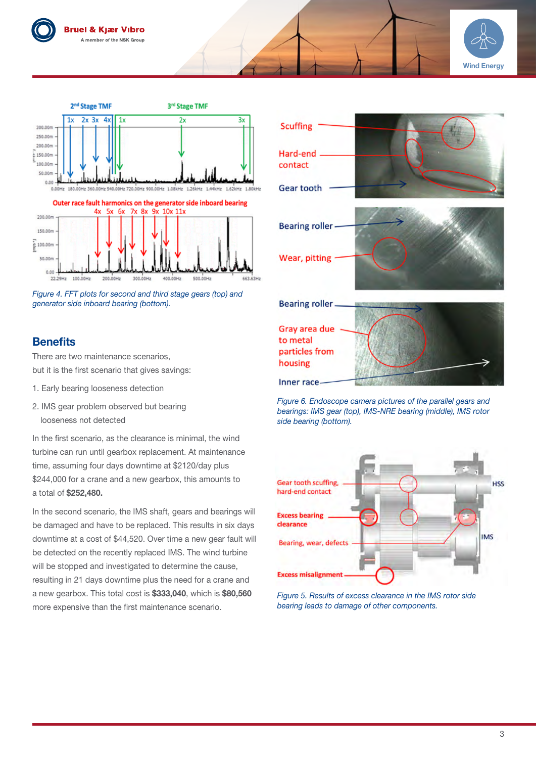







## **Benefits**

There are two maintenance scenarios, but it is the first scenario that gives savings:

- 1. Early bearing looseness detection
- 2. IMS gear problem observed but bearing looseness not detected

In the first scenario, as the clearance is minimal, the wind turbine can run until gearbox replacement. At maintenance time, assuming four days downtime at \$2120/day plus \$244,000 for a crane and a new gearbox, this amounts to a total of \$252,480.

In the second scenario, the IMS shaft, gears and bearings will be damaged and have to be replaced. This results in six days downtime at a cost of \$44,520. Over time a new gear fault will be detected on the recently replaced IMS. The wind turbine will be stopped and investigated to determine the cause, resulting in 21 days downtime plus the need for a crane and a new gearbox. This total cost is \$333,040, which is \$80,560 more expensive than the first maintenance scenario.



*Figure 6. Endoscope camera pictures of the parallel gears and bearings: IMS gear (top), IMS-NRE bearing (middle), IMS rotor side bearing (bottom).* 

Inner race-



*Figure 5. Results of excess clearance in the IMS rotor side bearing leads to damage of other components.*